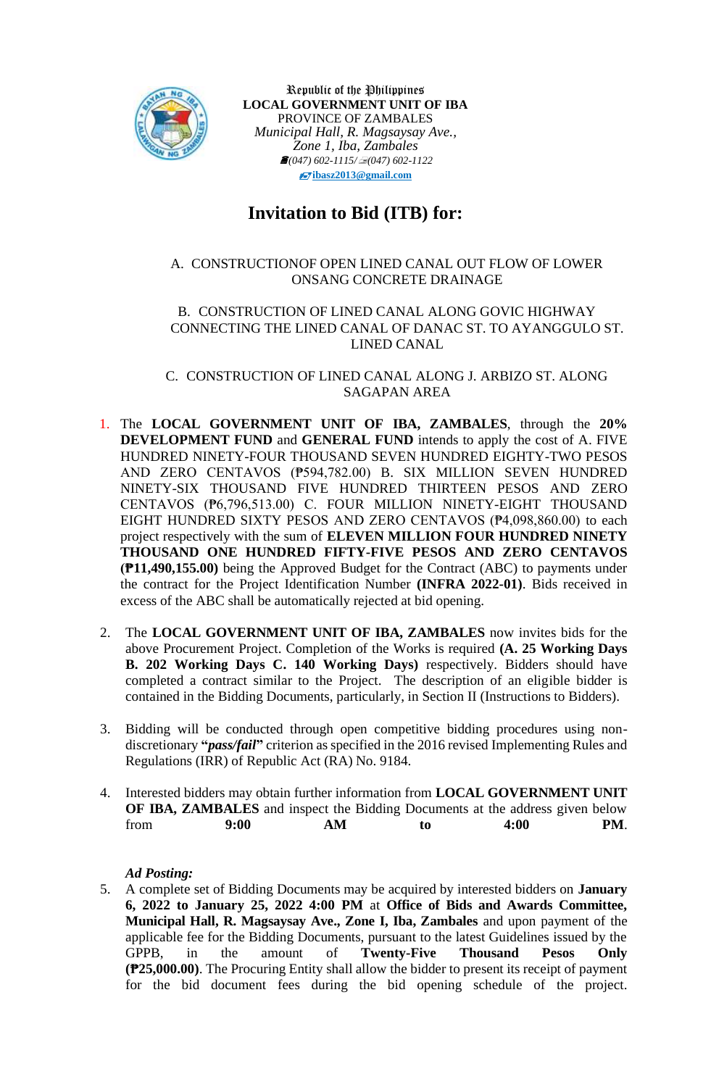

Republic of the Philippines **LOCAL GOVERNMENT UNIT OF IBA** PROVINCE OF ZAMBALES *Municipal Hall, R. Magsaysay Ave., Zone 1, Iba, Zambales (047) 602-1115/(047) 602-1122* **[ibasz2013@gmail.com](mailto:ibasz2013@gmail.com)**

# **Invitation to Bid (ITB) for:**

## A. CONSTRUCTIONOF OPEN LINED CANAL OUT FLOW OF LOWER ONSANG CONCRETE DRAINAGE

#### B. CONSTRUCTION OF LINED CANAL ALONG GOVIC HIGHWAY CONNECTING THE LINED CANAL OF DANAC ST. TO AYANGGULO ST. LINED CANAL

C. CONSTRUCTION OF LINED CANAL ALONG J. ARBIZO ST. ALONG SAGAPAN AREA

- 1. The **LOCAL GOVERNMENT UNIT OF IBA, ZAMBALES**, through the **20% DEVELOPMENT FUND** and **GENERAL FUND** intends to apply the cost of A. FIVE HUNDRED NINETY-FOUR THOUSAND SEVEN HUNDRED EIGHTY-TWO PESOS AND ZERO CENTAVOS (₱594,782.00) B. SIX MILLION SEVEN HUNDRED NINETY-SIX THOUSAND FIVE HUNDRED THIRTEEN PESOS AND ZERO CENTAVOS (₱6,796,513.00) C. FOUR MILLION NINETY-EIGHT THOUSAND EIGHT HUNDRED SIXTY PESOS AND ZERO CENTAVOS (₱4,098,860.00) to each project respectively with the sum of **ELEVEN MILLION FOUR HUNDRED NINETY THOUSAND ONE HUNDRED FIFTY-FIVE PESOS AND ZERO CENTAVOS (₱11,490,155.00)** being the Approved Budget for the Contract (ABC) to payments under the contract for the Project Identification Number **(INFRA 2022-01)**. Bids received in excess of the ABC shall be automatically rejected at bid opening.
- 2. The **LOCAL GOVERNMENT UNIT OF IBA, ZAMBALES** now invites bids for the above Procurement Project. Completion of the Works is required **(A. 25 Working Days B. 202 Working Days C. 140 Working Days)** respectively. Bidders should have completed a contract similar to the Project. The description of an eligible bidder is contained in the Bidding Documents, particularly, in Section II (Instructions to Bidders).
- 3. Bidding will be conducted through open competitive bidding procedures using nondiscretionary **"***pass/fail***"** criterion as specified in the 2016 revised Implementing Rules and Regulations (IRR) of Republic Act (RA) No. 9184.
- 4. Interested bidders may obtain further information from **LOCAL GOVERNMENT UNIT OF IBA, ZAMBALES** and inspect the Bidding Documents at the address given below from **9:00 AM to 4:00 PM**.

#### *Ad Posting:*

5. A complete set of Bidding Documents may be acquired by interested bidders on **January 6, 2022 to January 25, 2022 4:00 PM** at **Office of Bids and Awards Committee, Municipal Hall, R. Magsaysay Ave., Zone I, Iba, Zambales** and upon payment of the applicable fee for the Bidding Documents, pursuant to the latest Guidelines issued by the GPPB, in the amount of **Twenty-Five Thousand Pesos Only (₱25,000.00)**. The Procuring Entity shall allow the bidder to present its receipt of payment for the bid document fees during the bid opening schedule of the project.